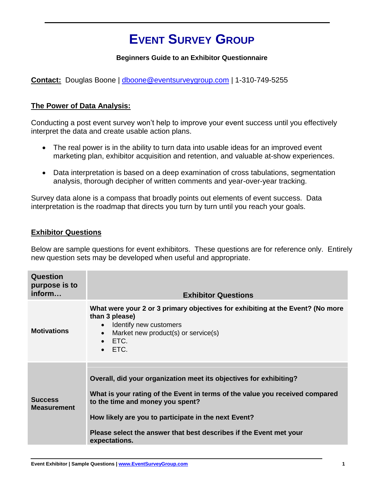## **EVENT SURVEY GROUP**

## **Beginners Guide to an Exhibitor Questionnaire**

**Contact:** Douglas Boone | [dboone@eventsurveygroup.com](mailto:dboone@eventsurveygroup.com) | 1-310-749-5255

## **The Power of Data Analysis:**

Conducting a post event survey won't help to improve your event success until you effectively interpret the data and create usable action plans.

- The real power is in the ability to turn data into usable ideas for an improved event marketing plan, exhibitor acquisition and retention, and valuable at-show experiences.
- Data interpretation is based on a deep examination of cross tabulations, segmentation analysis, thorough decipher of written comments and year-over-year tracking.

Survey data alone is a compass that broadly points out elements of event success. Data interpretation is the roadmap that directs you turn by turn until you reach your goals.

## **Exhibitor Questions**

Below are sample questions for event exhibitors. These questions are for reference only. Entirely new question sets may be developed when useful and appropriate.

| Question<br>purpose is to<br>inform  | <b>Exhibitor Questions</b>                                                                                                                                                                                                                                                                                                            |
|--------------------------------------|---------------------------------------------------------------------------------------------------------------------------------------------------------------------------------------------------------------------------------------------------------------------------------------------------------------------------------------|
| <b>Motivations</b>                   | What were your 2 or 3 primary objectives for exhibiting at the Event? (No more<br>than 3 please)<br>• Identify new customers<br>Market new product(s) or service(s)<br>$\bullet$<br>$\bullet$ ETC.<br>$\bullet$ ETC.                                                                                                                  |
| <b>Success</b><br><b>Measurement</b> | Overall, did your organization meet its objectives for exhibiting?<br>What is your rating of the Event in terms of the value you received compared<br>to the time and money you spent?<br>How likely are you to participate in the next Event?<br>Please select the answer that best describes if the Event met your<br>expectations. |